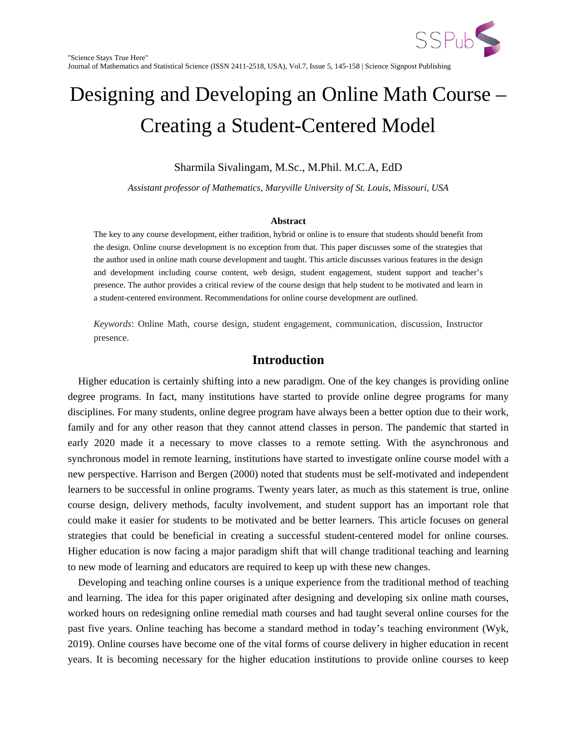

# Designing and Developing an Online Math Course – Creating a Student-Centered Model

SSPub

Sharmila Sivalingam, M.Sc., M.Phil. M.C.A, EdD

*Assistant professor of Mathematics, Maryville University of St. Louis, Missouri, USA*

#### **Abstract**

The key to any course development, either tradition, hybrid or online is to ensure that students should benefit from the design. Online course development is no exception from that. This paper discusses some of the strategies that the author used in online math course development and taught. This article discusses various features in the design and development including course content, web design, student engagement, student support and teacher's presence. The author provides a critical review of the course design that help student to be motivated and learn in a student-centered environment. Recommendations for online course development are outlined.

*Keywords*: Online Math, course design, student engagement, communication, discussion, Instructor presence.

#### **Introduction**

 Higher education is certainly shifting into a new paradigm. One of the key changes is providing online degree programs. In fact, many institutions have started to provide online degree programs for many disciplines. For many students, online degree program have always been a better option due to their work, family and for any other reason that they cannot attend classes in person. The pandemic that started in early 2020 made it a necessary to move classes to a remote setting. With the asynchronous and synchronous model in remote learning, institutions have started to investigate online course model with a new perspective. Harrison and Bergen (2000) noted that students must be self-motivated and independent learners to be successful in online programs. Twenty years later, as much as this statement is true, online course design, delivery methods, faculty involvement, and student support has an important role that could make it easier for students to be motivated and be better learners. This article focuses on general strategies that could be beneficial in creating a successful student-centered model for online courses. Higher education is now facing a major paradigm shift that will change traditional teaching and learning to new mode of learning and educators are required to keep up with these new changes.

 Developing and teaching online courses is a unique experience from the traditional method of teaching and learning. The idea for this paper originated after designing and developing six online math courses, worked hours on redesigning online remedial math courses and had taught several online courses for the past five years. Online teaching has become a standard method in today's teaching environment (Wyk, 2019). Online courses have become one of the vital forms of course delivery in higher education in recent years. It is becoming necessary for the higher education institutions to provide online courses to keep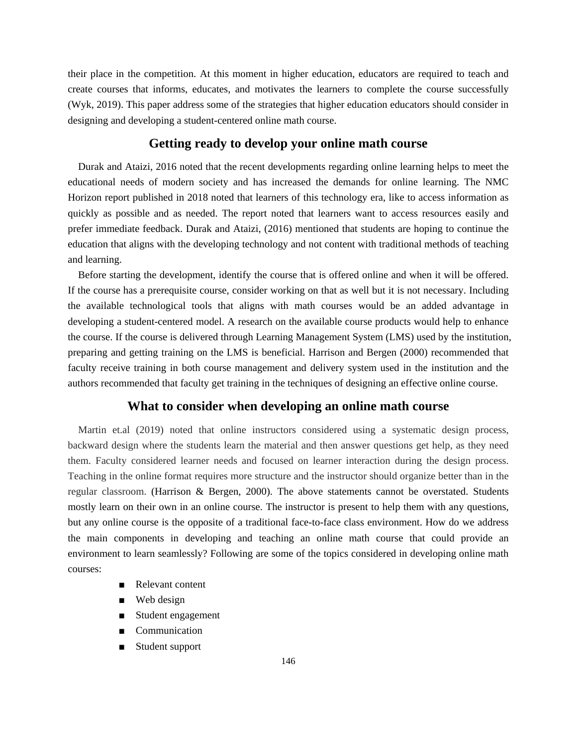their place in the competition. At this moment in higher education, educators are required to teach and create courses that informs, educates, and motivates the learners to complete the course successfully (Wyk, 2019). This paper address some of the strategies that higher education educators should consider in designing and developing a student-centered online math course.

## **Getting ready to develop your online math course**

 Durak and Ataizi, 2016 noted that the recent developments regarding online learning helps to meet the educational needs of modern society and has increased the demands for online learning. The NMC Horizon report published in 2018 noted that learners of this technology era, like to access information as quickly as possible and as needed. The report noted that learners want to access resources easily and prefer immediate feedback. Durak and Ataizi, (2016) mentioned that students are hoping to continue the education that aligns with the developing technology and not content with traditional methods of teaching and learning.

 Before starting the development, identify the course that is offered online and when it will be offered. If the course has a prerequisite course, consider working on that as well but it is not necessary. Including the available technological tools that aligns with math courses would be an added advantage in developing a student-centered model. A research on the available course products would help to enhance the course. If the course is delivered through Learning Management System (LMS) used by the institution, preparing and getting training on the LMS is beneficial. Harrison and Bergen (2000) recommended that faculty receive training in both course management and delivery system used in the institution and the authors recommended that faculty get training in the techniques of designing an effective online course.

# **What to consider when developing an online math course**

 Martin et.al (2019) noted that online instructors considered using a systematic design process, backward design where the students learn the material and then answer questions get help, as they need them. Faculty considered learner needs and focused on learner interaction during the design process. Teaching in the online format requires more structure and the instructor should organize better than in the regular classroom. (Harrison & Bergen, 2000). The above statements cannot be overstated. Students mostly learn on their own in an online course. The instructor is present to help them with any questions, but any online course is the opposite of a traditional face-to-face class environment. How do we address the main components in developing and teaching an online math course that could provide an environment to learn seamlessly? Following are some of the topics considered in developing online math courses:

- Relevant content
- Web design
- Student engagement
- Communication
- Student support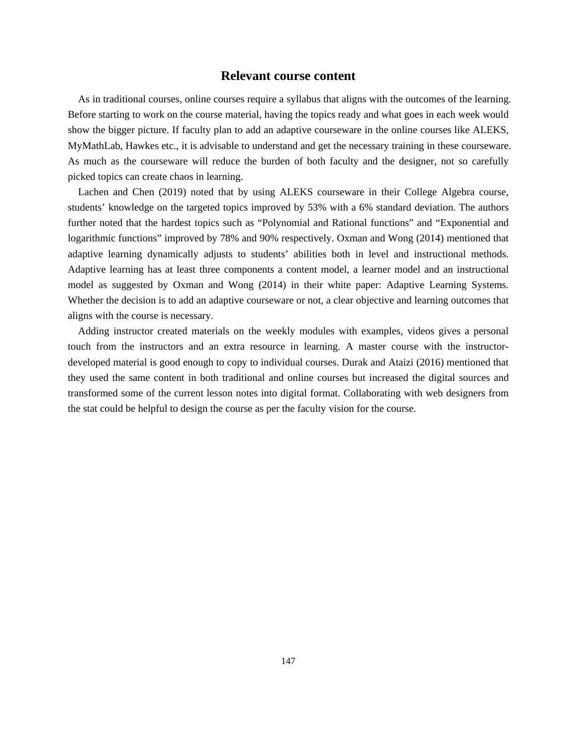#### **Relevant course content**

 As in traditional courses, online courses require a syllabus that aligns with the outcomes of the learning. Before starting to work on the course material, having the topics ready and what goes in each week would show the bigger picture. If faculty plan to add an adaptive courseware in the online courses like ALEKS, MyMathLab, Hawkes etc., it is advisable to understand and get the necessary training in these courseware. As much as the courseware will reduce the burden of both faculty and the designer, not so carefully picked topics can create chaos in learning.

 Lachen and Chen (2019) noted that by using ALEKS courseware in their College Algebra course, students' knowledge on the targeted topics improved by 53% with a 6% standard deviation. The authors further noted that the hardest topics such as "Polynomial and Rational functions" and "Exponential and logarithmic functions" improved by 78% and 90% respectively. Oxman and Wong (2014) mentioned that adaptive learning dynamically adjusts to students' abilities both in level and instructional methods. Adaptive learning has at least three components a content model, a learner model and an instructional model as suggested by Oxman and Wong (2014) in their white paper: Adaptive Learning Systems. Whether the decision is to add an adaptive courseware or not, a clear objective and learning outcomes that aligns with the course is necessary.

 Adding instructor created materials on the weekly modules with examples, videos gives a personal touch from the instructors and an extra resource in learning. A master course with the instructordeveloped material is good enough to copy to individual courses. Durak and Ataizi (2016) mentioned that they used the same content in both traditional and online courses but increased the digital sources and transformed some of the current lesson notes into digital format. Collaborating with web designers from the stat could be helpful to design the course as per the faculty vision for the course.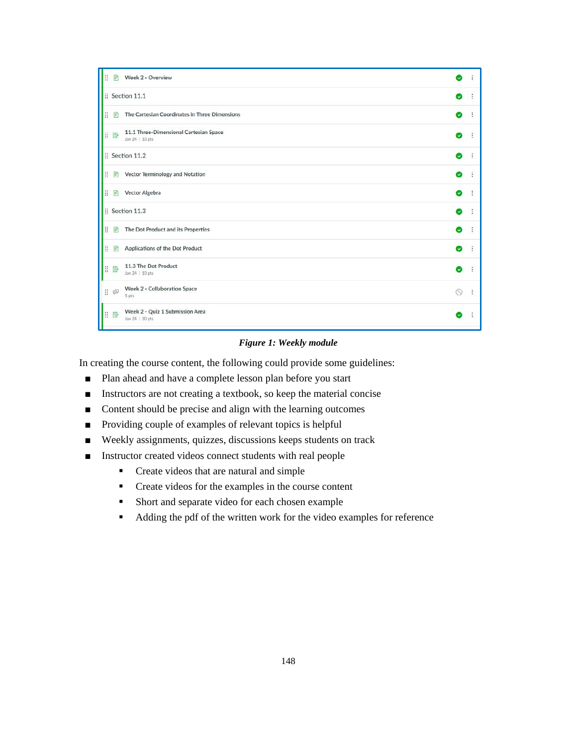| H. | $\mathbb{P}$           | Week 2 - Overview                                         | U            | $\ddot{\ddot{\cdot}}$ |
|----|------------------------|-----------------------------------------------------------|--------------|-----------------------|
|    |                        | Section 11.1                                              | o            |                       |
| ä. | $\mathbb{R}$           | The Cartesian Coordinates in Three Dimensions             | ◎            | ÷                     |
|    | B                      | 11.1 Three-Dimensional Cartesian Space<br>Jan 24   10 pts | Ø            | ÷                     |
|    |                        | Section 11.2                                              | o            | ÷                     |
| H. | 目                      | Vector Terminology and Notation                           | Ø            | ÷                     |
|    | 目目                     | <b>Vector Algebra</b>                                     | ø            | ÷                     |
|    |                        | : Section 11.3                                            | ◙            | ÷                     |
| Ħ  | 國                      | The Dot Product and its Properties                        | ø            | ÷                     |
| H  | $\mathbb{R}^2$         | Applications of the Dot Product                           | Ø            | $\vdots$              |
|    | I R                    | 11.3 The Dot Product<br>Jan 24   10 pts                   | ๏            | $\ddot{\cdot}$        |
|    | $\mathbb{H}$ $\otimes$ | Week 2 - Collaboration Space<br>5 pts                     | N            | ÷                     |
|    | I ®                    | Week 2 - Quiz 1 Submission Area<br>Jan 24   30 pts        | $\checkmark$ |                       |

#### *Figure 1: Weekly module*

In creating the course content, the following could provide some guidelines:

- Plan ahead and have a complete lesson plan before you start
- Instructors are not creating a textbook, so keep the material concise
- Content should be precise and align with the learning outcomes
- Providing couple of examples of relevant topics is helpful
- Weekly assignments, quizzes, discussions keeps students on track
- Instructor created videos connect students with real people
	- Create videos that are natural and simple
	- Create videos for the examples in the course content
	- Short and separate video for each chosen example
	- Adding the pdf of the written work for the video examples for reference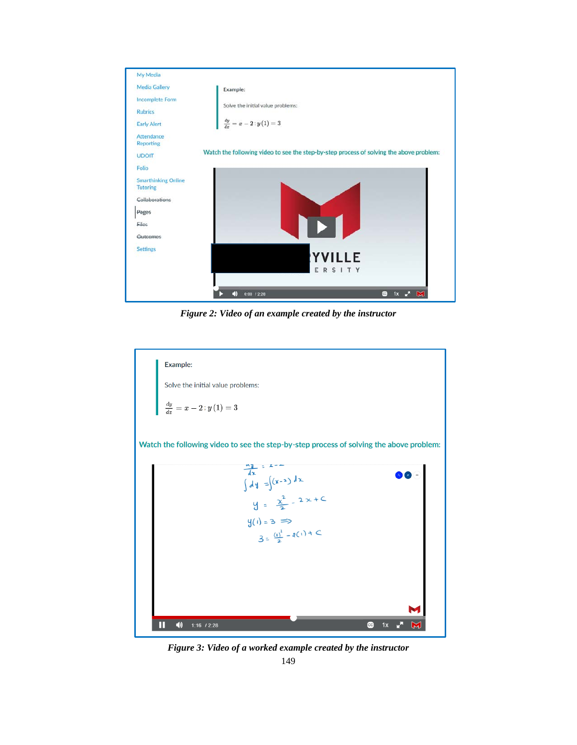

*Figure 2: Video of an example created by the instructor*



*Figure 3: Video of a worked example created by the instructor*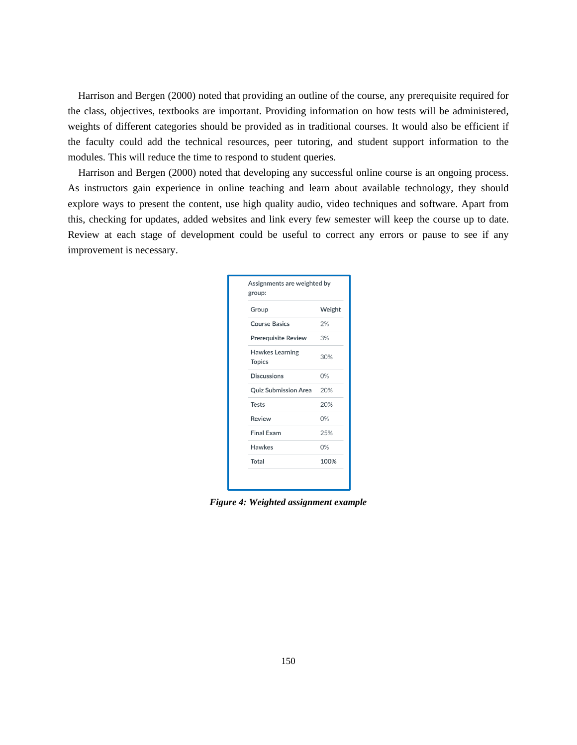Harrison and Bergen (2000) noted that providing an outline of the course, any prerequisite required for the class, objectives, textbooks are important. Providing information on how tests will be administered, weights of different categories should be provided as in traditional courses. It would also be efficient if the faculty could add the technical resources, peer tutoring, and student support information to the modules. This will reduce the time to respond to student queries.

 Harrison and Bergen (2000) noted that developing any successful online course is an ongoing process. As instructors gain experience in online teaching and learn about available technology, they should explore ways to present the content, use high quality audio, video techniques and software. Apart from this, checking for updates, added websites and link every few semester will keep the course up to date. Review at each stage of development could be useful to correct any errors or pause to see if any improvement is necessary.

| Group                                   | Weight |
|-----------------------------------------|--------|
| <b>Course Basics</b>                    | 2%     |
| <b>Prerequisite Review</b>              | 3%     |
| <b>Hawkes Learning</b><br><b>Topics</b> | 30%    |
| <b>Discussions</b>                      | 0%     |
| <b>Quiz Submission Area</b>             | 20%    |
| <b>Tests</b>                            | 20%    |
| Review                                  | 0%     |
| <b>Final Exam</b>                       | 25%    |
| <b>Hawkes</b>                           | 0%     |
| Total                                   | 100%   |

*Figure 4: Weighted assignment example*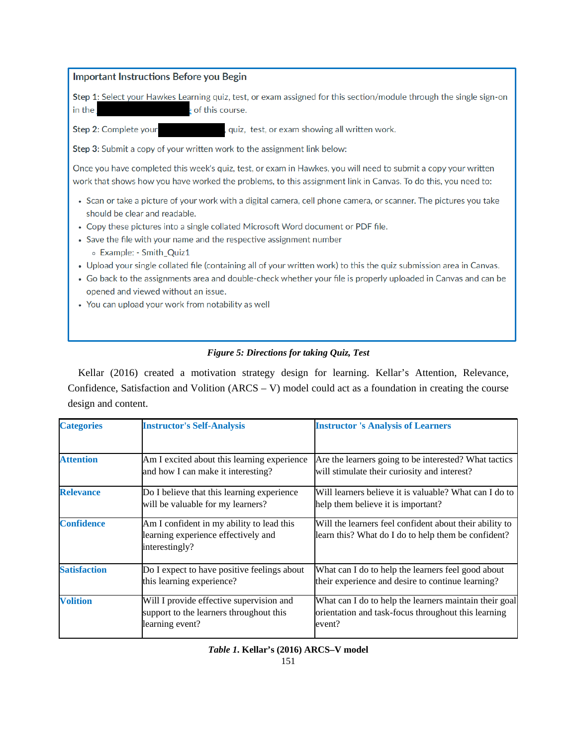| <b>Important Instructions Before you Begin</b>                                                                                                                                                                                                                                |  |  |  |
|-------------------------------------------------------------------------------------------------------------------------------------------------------------------------------------------------------------------------------------------------------------------------------|--|--|--|
| Step 1: Select your Hawkes Learning quiz, test, or exam assigned for this section/module through the single sign-on<br>in the<br>of this course.                                                                                                                              |  |  |  |
| Step 2: Complete your<br>quiz, test, or exam showing all written work.                                                                                                                                                                                                        |  |  |  |
| <b>Step 3:</b> Submit a copy of your written work to the assignment link below:                                                                                                                                                                                               |  |  |  |
| Once you have completed this week's quiz, test, or exam in Hawkes, you will need to submit a copy your written<br>work that shows how you have worked the problems, to this assignment link in Canvas. To do this, you need to:                                               |  |  |  |
| • Scan or take a picture of your work with a digital camera, cell phone camera, or scanner. The pictures you take<br>should be clear and readable.                                                                                                                            |  |  |  |
| • Copy these pictures into a single collated Microsoft Word document or PDF file.                                                                                                                                                                                             |  |  |  |
| • Save the file with your name and the respective assignment number<br>∘ Example: - Smith_Quiz1                                                                                                                                                                               |  |  |  |
| • Upload your single collated file (containing all of your written work) to this the quiz submission area in Canvas.<br>• Go back to the assignments area and double-check whether your file is properly uploaded in Canvas and can be<br>opened and viewed without an issue. |  |  |  |
| • You can upload your work from notability as well                                                                                                                                                                                                                            |  |  |  |
|                                                                                                                                                                                                                                                                               |  |  |  |
|                                                                                                                                                                                                                                                                               |  |  |  |

## *Figure 5: Directions for taking Quiz, Test*

 Kellar (2016) created a motivation strategy design for learning. Kellar's Attention, Relevance, Confidence, Satisfaction and Volition (ARCS – V) model could act as a foundation in creating the course design and content.

| <b>Categories</b>   | <b>Instructor's Self-Analysis</b>                                                                      | <b>Instructor 's Analysis of Learners</b>                                                                               |
|---------------------|--------------------------------------------------------------------------------------------------------|-------------------------------------------------------------------------------------------------------------------------|
| <b>Attention</b>    | Am I excited about this learning experience<br>and how I can make it interesting?                      | Are the learners going to be interested? What tactics<br>will stimulate their curiosity and interest?                   |
| <b>Relevance</b>    | Do I believe that this learning experience<br>will be valuable for my learners?                        | Will learners believe it is valuable? What can I do to<br>help them believe it is important?                            |
| <b>Confidence</b>   | Am I confident in my ability to lead this<br>learning experience effectively and<br>interestingly?     | Will the learners feel confident about their ability to<br>learn this? What do I do to help them be confident?          |
| <b>Satisfaction</b> | Do I expect to have positive feelings about<br>this learning experience?                               | What can I do to help the learners feel good about<br>their experience and desire to continue learning?                 |
| <b>Volition</b>     | Will I provide effective supervision and<br>support to the learners throughout this<br>learning event? | What can I do to help the learners maintain their goal<br>orientation and task-focus throughout this learning<br>event? |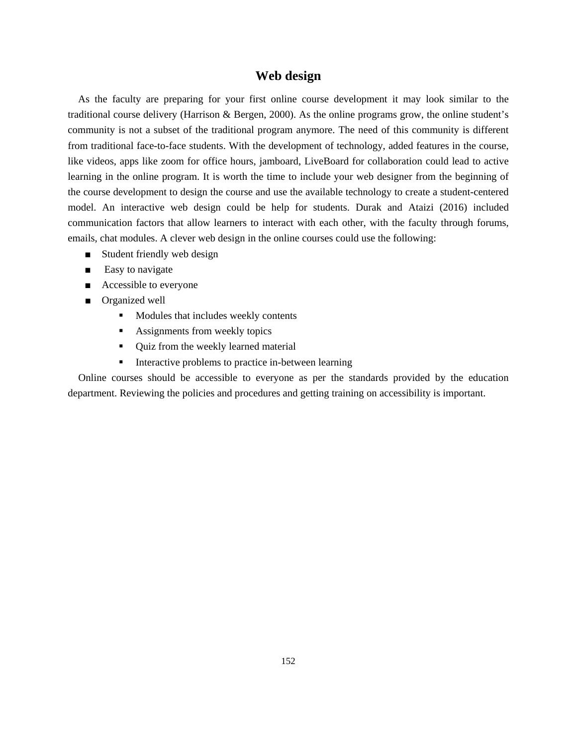# **Web design**

 As the faculty are preparing for your first online course development it may look similar to the traditional course delivery (Harrison & Bergen, 2000). As the online programs grow, the online student's community is not a subset of the traditional program anymore. The need of this community is different from traditional face-to-face students. With the development of technology, added features in the course, like videos, apps like zoom for office hours, jamboard, LiveBoard for collaboration could lead to active learning in the online program. It is worth the time to include your web designer from the beginning of the course development to design the course and use the available technology to create a student-centered model. An interactive web design could be help for students. Durak and Ataizi (2016) included communication factors that allow learners to interact with each other, with the faculty through forums, emails, chat modules. A clever web design in the online courses could use the following:

- Student friendly web design
- Easy to navigate
- Accessible to everyone
- Organized well
	- **Modules that includes weekly contents**
	- Assignments from weekly topics
	- Quiz from the weekly learned material
	- **Interactive problems to practice in-between learning**

 Online courses should be accessible to everyone as per the standards provided by the education department. Reviewing the policies and procedures and getting training on accessibility is important.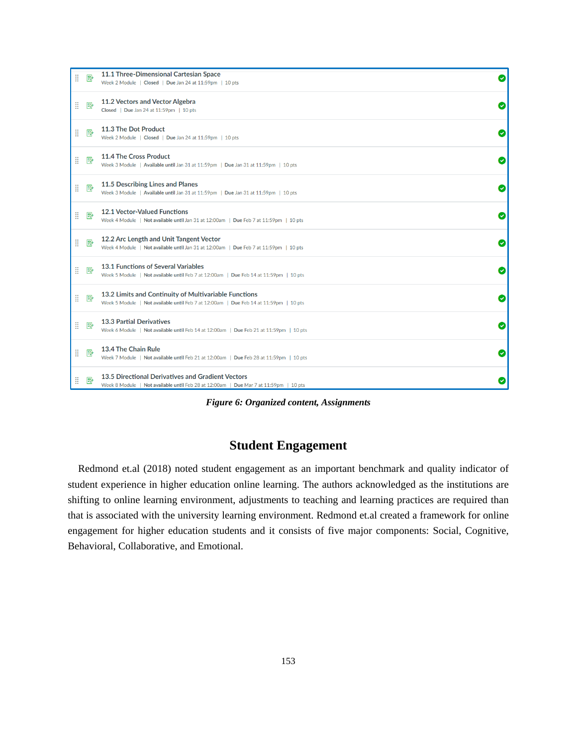| H | 國 | 11.1 Three-Dimensional Cartesian Space<br>Week 2 Module   Closed   Due Jan 24 at 11:59pm   10 pts                                              | Ø |
|---|---|------------------------------------------------------------------------------------------------------------------------------------------------|---|
| H | 國 | 11.2 Vectors and Vector Algebra<br>Closed   Due Jan 24 at 11:59pm   10 pts                                                                     | Ø |
| H | 國 | 11.3 The Dot Product<br>Week 2 Module   Closed   Due Jan 24 at 11:59pm   10 pts                                                                | Ø |
| H | 國 | 11.4 The Cross Product<br>Week 3 Module   Available until Jan 31 at 11:59pm   Due Jan 31 at 11:59pm   10 pts                                   | Ø |
| H | ₽ | 11.5 Describing Lines and Planes<br>Week 3 Module   Available until Jan 31 at 11:59pm   Due Jan 31 at 11:59pm   10 pts                         | Ø |
| H | 國 | <b>12.1 Vector-Valued Functions</b><br>Week 4 Module   Not available until Jan 31 at 12:00am   Due Feb 7 at 11:59pm   10 pts                   | Ø |
| H | ₽ | 12.2 Arc Length and Unit Tangent Vector<br>Week 4 Module   Not available until Jan 31 at 12:00am   Due Feb 7 at 11:59pm   10 pts               | Ø |
| H | 國 | 13.1 Functions of Several Variables<br>Week 5 Module   Not available until Feb 7 at 12:00am   Due Feb 14 at 11:59pm   10 pts                   | Ø |
| H | ₽ | 13.2 Limits and Continuity of Multivariable Functions<br>Week 5 Module   Not available until Feb 7 at 12:00am   Due Feb 14 at 11:59pm   10 pts | Ø |
| H | 國 | <b>13.3 Partial Derivatives</b><br>Week 6 Module   Not available until Feb 14 at 12:00am   Due Feb 21 at 11:59pm   10 pts                      | Ø |
| H | 國 | 13.4 The Chain Rule<br>Week 7 Module   Not available until Feb 21 at 12:00am   Due Feb 28 at 11:59pm   10 pts                                  | Ø |
| H | 駗 | 13.5 Directional Derivatives and Gradient Vectors<br>Week 8 Module   Not available until Feb 28 at 12:00am   Due Mar 7 at 11:59pm   10 pts     |   |

*Figure 6: Organized content, Assignments*

# **Student Engagement**

 Redmond et.al (2018) noted student engagement as an important benchmark and quality indicator of student experience in higher education online learning. The authors acknowledged as the institutions are shifting to online learning environment, adjustments to teaching and learning practices are required than that is associated with the university learning environment. Redmond et.al created a framework for online engagement for higher education students and it consists of five major components: Social, Cognitive, Behavioral, Collaborative, and Emotional.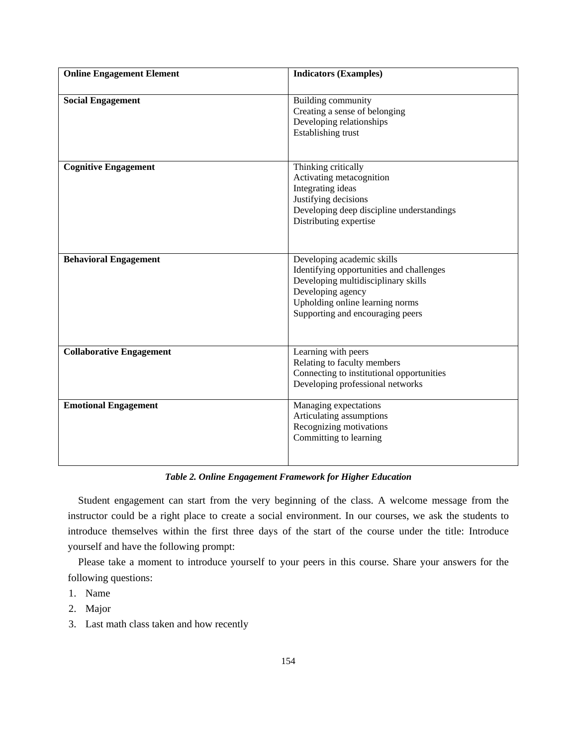| <b>Online Engagement Element</b> | <b>Indicators (Examples)</b>                                                                                                                                                                              |
|----------------------------------|-----------------------------------------------------------------------------------------------------------------------------------------------------------------------------------------------------------|
| <b>Social Engagement</b>         | Building community<br>Creating a sense of belonging<br>Developing relationships<br>Establishing trust                                                                                                     |
| <b>Cognitive Engagement</b>      | Thinking critically<br>Activating metacognition<br>Integrating ideas<br>Justifying decisions<br>Developing deep discipline understandings<br>Distributing expertise                                       |
| <b>Behavioral Engagement</b>     | Developing academic skills<br>Identifying opportunities and challenges<br>Developing multidisciplinary skills<br>Developing agency<br>Upholding online learning norms<br>Supporting and encouraging peers |
| <b>Collaborative Engagement</b>  | Learning with peers<br>Relating to faculty members<br>Connecting to institutional opportunities<br>Developing professional networks                                                                       |
| <b>Emotional Engagement</b>      | Managing expectations<br>Articulating assumptions<br>Recognizing motivations<br>Committing to learning                                                                                                    |

#### *Table 2. Online Engagement Framework for Higher Education*

 Student engagement can start from the very beginning of the class. A welcome message from the instructor could be a right place to create a social environment. In our courses, we ask the students to introduce themselves within the first three days of the start of the course under the title: Introduce yourself and have the following prompt:

 Please take a moment to introduce yourself to your peers in this course. Share your answers for the following questions:

- 1. Name
- 2. Major
- 3. Last math class taken and how recently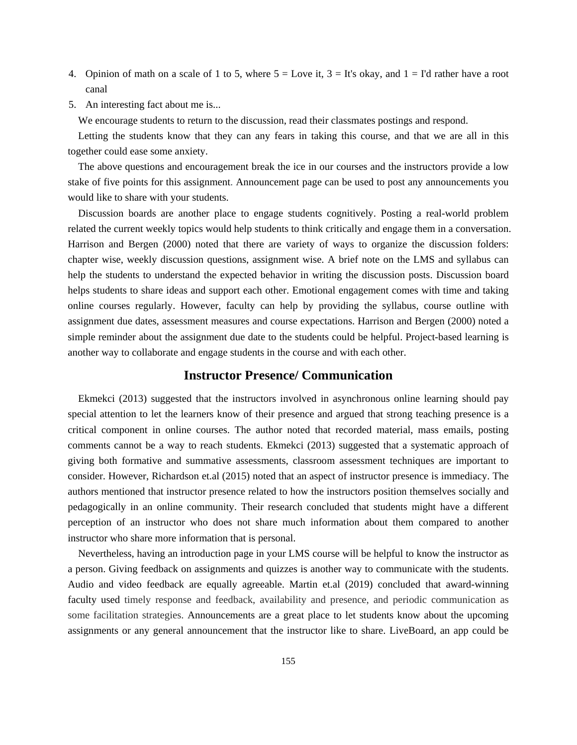- 4. Opinion of math on a scale of 1 to 5, where  $5 =$  Love it,  $3 =$  It's okay, and  $1 =$  I'd rather have a root canal
- 5. An interesting fact about me is...

We encourage students to return to the discussion, read their classmates postings and respond.

 Letting the students know that they can any fears in taking this course, and that we are all in this together could ease some anxiety.

 The above questions and encouragement break the ice in our courses and the instructors provide a low stake of five points for this assignment. Announcement page can be used to post any announcements you would like to share with your students.

 Discussion boards are another place to engage students cognitively. Posting a real-world problem related the current weekly topics would help students to think critically and engage them in a conversation. Harrison and Bergen (2000) noted that there are variety of ways to organize the discussion folders: chapter wise, weekly discussion questions, assignment wise. A brief note on the LMS and syllabus can help the students to understand the expected behavior in writing the discussion posts. Discussion board helps students to share ideas and support each other. Emotional engagement comes with time and taking online courses regularly. However, faculty can help by providing the syllabus, course outline with assignment due dates, assessment measures and course expectations. Harrison and Bergen (2000) noted a simple reminder about the assignment due date to the students could be helpful. Project-based learning is another way to collaborate and engage students in the course and with each other.

#### **Instructor Presence/ Communication**

 Ekmekci (2013) suggested that the instructors involved in asynchronous online learning should pay special attention to let the learners know of their presence and argued that strong teaching presence is a critical component in online courses. The author noted that recorded material, mass emails, posting comments cannot be a way to reach students. Ekmekci (2013) suggested that a systematic approach of giving both formative and summative assessments, classroom assessment techniques are important to consider. However, Richardson et.al (2015) noted that an aspect of instructor presence is immediacy. The authors mentioned that instructor presence related to how the instructors position themselves socially and pedagogically in an online community. Their research concluded that students might have a different perception of an instructor who does not share much information about them compared to another instructor who share more information that is personal.

 Nevertheless, having an introduction page in your LMS course will be helpful to know the instructor as a person. Giving feedback on assignments and quizzes is another way to communicate with the students. Audio and video feedback are equally agreeable. Martin et.al (2019) concluded that award-winning faculty used timely response and feedback, availability and presence, and periodic communication as some facilitation strategies. Announcements are a great place to let students know about the upcoming assignments or any general announcement that the instructor like to share. LiveBoard, an app could be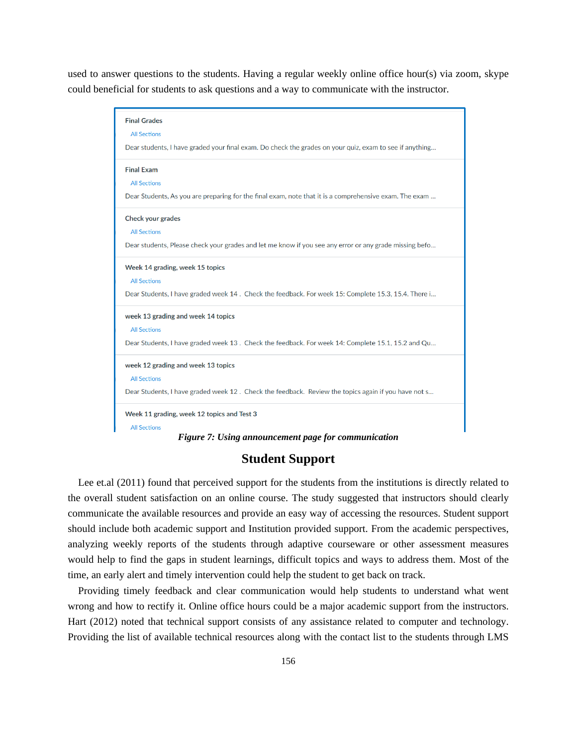used to answer questions to the students. Having a regular weekly online office hour(s) via zoom, skype could beneficial for students to ask questions and a way to communicate with the instructor.



*Figure 7: Using announcement page for communication*

## **Student Support**

 Lee et.al (2011) found that perceived support for the students from the institutions is directly related to the overall student satisfaction on an online course. The study suggested that instructors should clearly communicate the available resources and provide an easy way of accessing the resources. Student support should include both academic support and Institution provided support. From the academic perspectives, analyzing weekly reports of the students through adaptive courseware or other assessment measures would help to find the gaps in student learnings, difficult topics and ways to address them. Most of the time, an early alert and timely intervention could help the student to get back on track.

 Providing timely feedback and clear communication would help students to understand what went wrong and how to rectify it. Online office hours could be a major academic support from the instructors. Hart (2012) noted that technical support consists of any assistance related to computer and technology. Providing the list of available technical resources along with the contact list to the students through LMS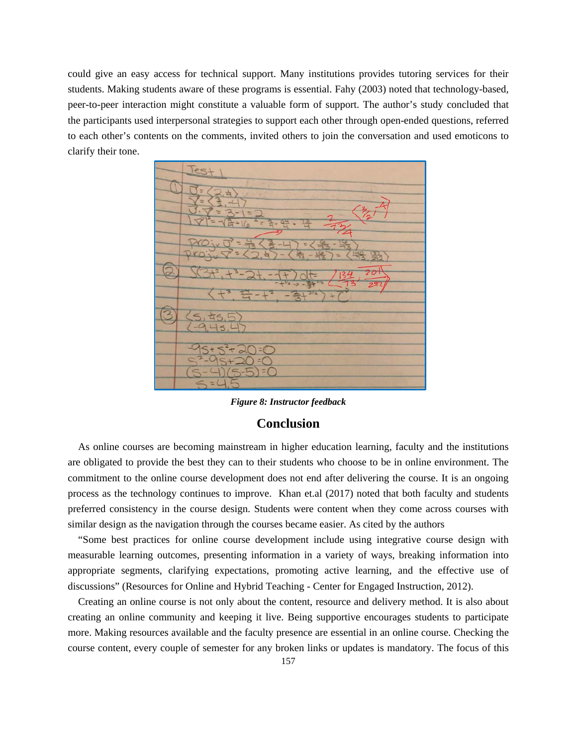could give an easy access for technical support. Many institutions provides tutoring services for their students. Making students aware of these programs is essential. Fahy (2003) noted that technology-based, peer-to-peer interaction might constitute a valuable form of support. The author's study concluded that the participants used interpersonal strategies to support each other through open-ended questions, referred to each other's contents on the comments, invited others to join the conversation and used emoticons to clarify their tone.

*Figure 8: Instructor feedback*

## **Conclusion**

 As online courses are becoming mainstream in higher education learning, faculty and the institutions are obligated to provide the best they can to their students who choose to be in online environment. The commitment to the online course development does not end after delivering the course. It is an ongoing process as the technology continues to improve. Khan et.al (2017) noted that both faculty and students preferred consistency in the course design. Students were content when they come across courses with similar design as the navigation through the courses became easier. As cited by the authors

 "Some best practices for online course development include using integrative course design with measurable learning outcomes, presenting information in a variety of ways, breaking information into appropriate segments, clarifying expectations, promoting active learning, and the effective use of discussions" (Resources for Online and Hybrid Teaching - Center for Engaged Instruction, 2012).

 Creating an online course is not only about the content, resource and delivery method. It is also about creating an online community and keeping it live. Being supportive encourages students to participate more. Making resources available and the faculty presence are essential in an online course. Checking the course content, every couple of semester for any broken links or updates is mandatory. The focus of this